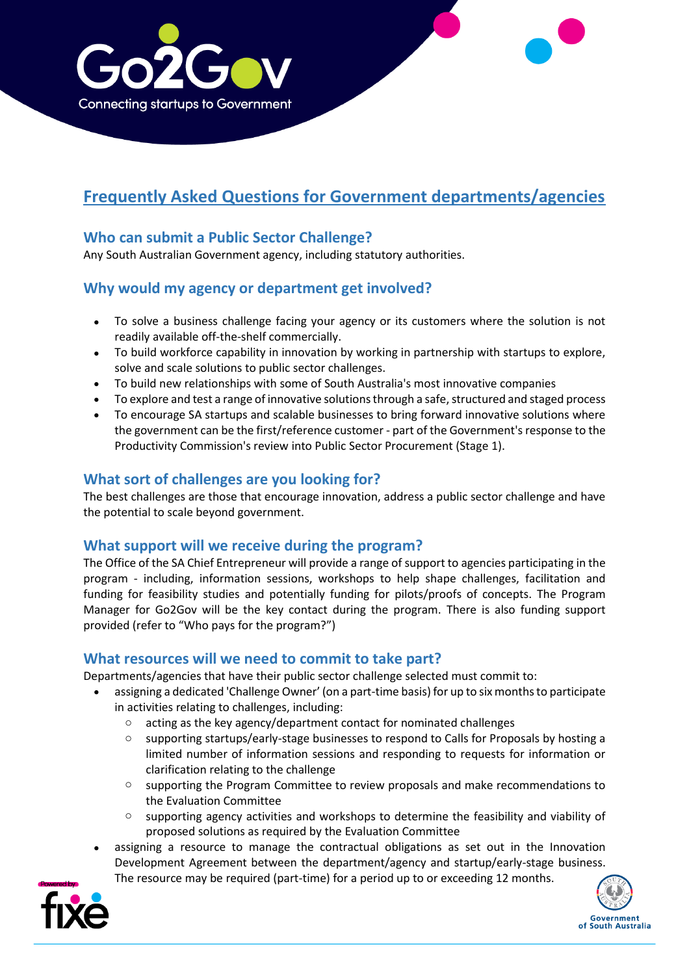

# **Frequently Asked Questions for Government departments/agencies**

## **Who can submit a Public Sector Challenge?**

Any South Australian Government agency, including statutory authorities.

## **Why would my agency or department get involved?**

- To solve a business challenge facing your agency or its customers where the solution is not readily available off-the-shelf commercially.
- To build workforce capability in innovation by working in partnership with startups to explore, solve and scale solutions to public sector challenges.
- To build new relationships with some of South Australia's most innovative companies
- To explore and test a range of innovative solutions through a safe, structured and staged process
- To encourage SA startups and scalable businesses to bring forward innovative solutions where the government can be the first/reference customer - part of the Government's response to the Productivity Commission's review into Public Sector Procurement (Stage 1).

## **What sort of challenges are you looking for?**

The best challenges are those that encourage innovation, address a public sector challenge and have the potential to scale beyond government.

#### **What support will we receive during the program?**

The Office of the SA Chief Entrepreneur will provide a range of support to agencies participating in the program - including, information sessions, workshops to help shape challenges, facilitation and funding for feasibility studies and potentially funding for pilots/proofs of concepts. The Program Manager for Go2Gov will be the key contact during the program. There is also funding support provided (refer to "Who pays for the program?")

#### **What resources will we need to commit to take part?**

Departments/agencies that have their public sector challenge selected must commit to:

- assigning a dedicated 'Challenge Owner' (on a part-time basis) for up to six months to participate in activities relating to challenges, including:
	- o acting as the key agency/department contact for nominated challenges
	- o supporting startups/early-stage businesses to respond to Calls for Proposals by hosting a limited number of information sessions and responding to requests for information or clarification relating to the challenge
	- $\circ$  supporting the Program Committee to review proposals and make recommendations to the Evaluation Committee
	- o supporting agency activities and workshops to determine the feasibility and viability of proposed solutions as required by the Evaluation Committee
- assigning a resource to manage the contractual obligations as set out in the Innovation Development Agreement between the department/agency and startup/early-stage business.
	- The resource may be required (part-time) for a period up to or exceeding 12 months.



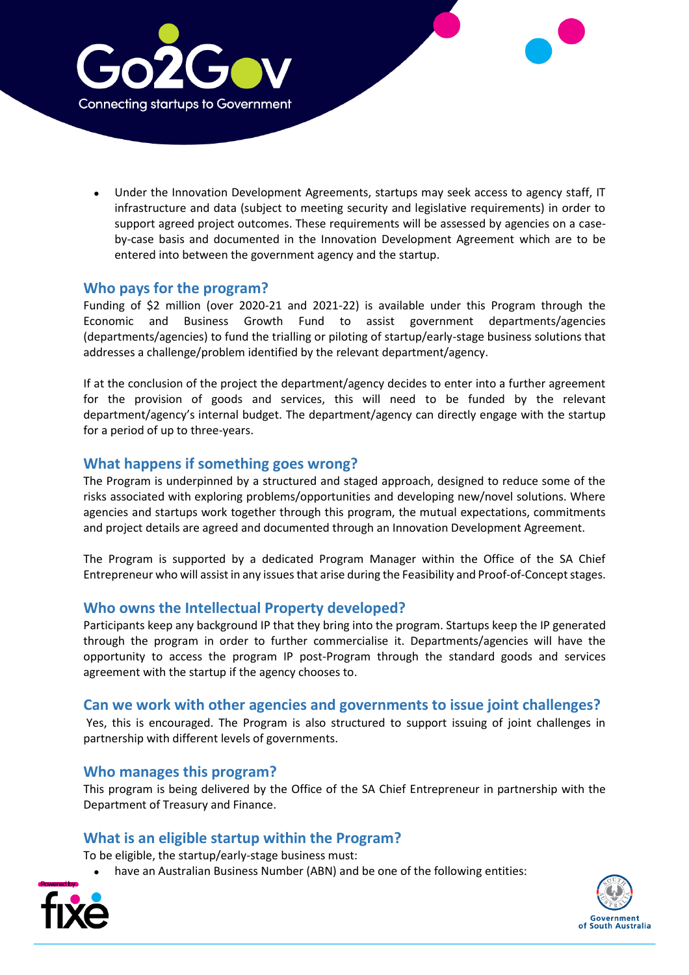

• Under the Innovation Development Agreements, startups may seek access to agency staff, IT infrastructure and data (subject to meeting security and legislative requirements) in order to support agreed project outcomes. These requirements will be assessed by agencies on a caseby-case basis and documented in the Innovation Development Agreement which are to be entered into between the government agency and the startup.

## **Who pays for the program?**

Funding of \$2 million (over 2020-21 and 2021-22) is available under this Program through the Economic and Business Growth Fund to assist government departments/agencies (departments/agencies) to fund the trialling or piloting of startup/early-stage business solutions that addresses a challenge/problem identified by the relevant department/agency.

If at the conclusion of the project the department/agency decides to enter into a further agreement for the provision of goods and services, this will need to be funded by the relevant department/agency's internal budget. The department/agency can directly engage with the startup for a period of up to three-years.

## **What happens if something goes wrong?**

The Program is underpinned by a structured and staged approach, designed to reduce some of the risks associated with exploring problems/opportunities and developing new/novel solutions. Where agencies and startups work together through this program, the mutual expectations, commitments and project details are agreed and documented through an Innovation Development Agreement.

The Program is supported by a dedicated Program Manager within the Office of the SA Chief Entrepreneur who will assist in any issuesthat arise during the Feasibility and Proof-of-Concept stages.

## **Who owns the Intellectual Property developed?**

Participants keep any background IP that they bring into the program. Startups keep the IP generated through the program in order to further commercialise it. Departments/agencies will have the opportunity to access the program IP post-Program through the standard goods and services agreement with the startup if the agency chooses to.

#### **Can we work with other agencies and governments to issue joint challenges?**

Yes, this is encouraged. The Program is also structured to support issuing of joint challenges in partnership with different levels of governments.

#### **Who manages this program?**

This program is being delivered by the Office of the SA Chief Entrepreneur in partnership with the Department of Treasury and Finance.

#### **What is an eligible startup within the Program?**

To be eligible, the startup/early-stage business must:

• have an Australian Business Number (ABN) and be one of the following entities:



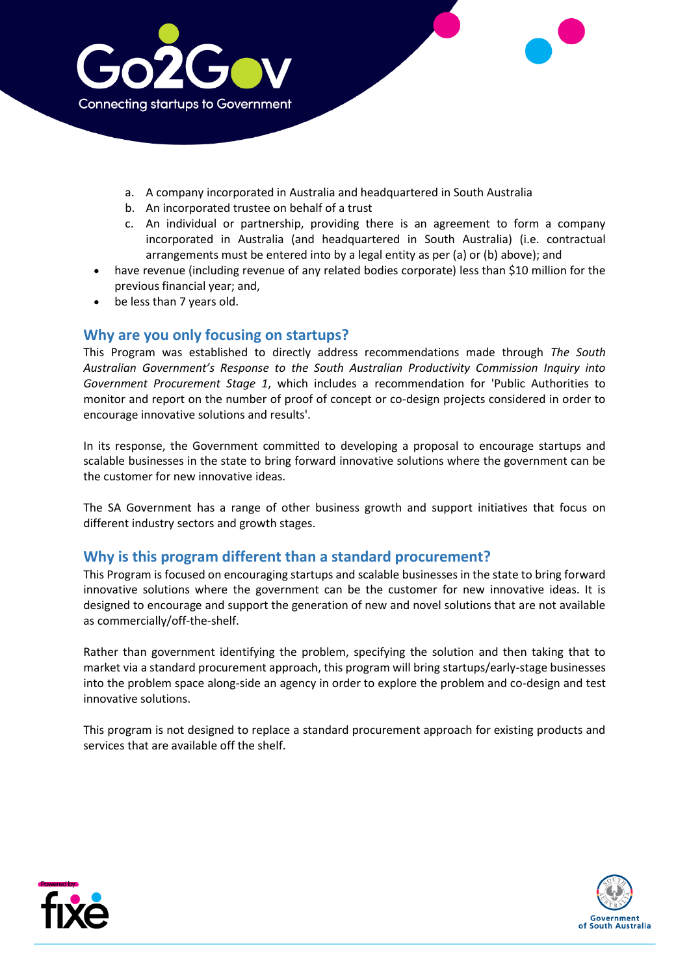

- a. A company incorporated in Australia and headquartered in South Australia
- b. An incorporated trustee on behalf of a trust
- c. An individual or partnership, providing there is an agreement to form a company incorporated in Australia (and headquartered in South Australia) (i.e. contractual arrangements must be entered into by a legal entity as per (a) or (b) above); and
- have revenue (including revenue of any related bodies corporate) less than \$10 million for the previous financial year; and,
- be less than 7 years old.

#### **Why are you only focusing on startups?**

This Program was established to directly address recommendations made through *The South Australian Government's Response to the South Australian Productivity Commission Inquiry into Government Procurement Stage 1*, which includes a recommendation for 'Public Authorities to monitor and report on the number of proof of concept or co-design projects considered in order to encourage innovative solutions and results'.

In its response, the Government committed to developing a proposal to encourage startups and scalable businesses in the state to bring forward innovative solutions where the government can be the customer for new innovative ideas.

The SA Government has a range of other business growth and support initiatives that focus on different industry sectors and growth stages.

## **Why is this program different than a standard procurement?**

This Program is focused on encouraging startups and scalable businesses in the state to bring forward innovative solutions where the government can be the customer for new innovative ideas. It is designed to encourage and support the generation of new and novel solutions that are not available as commercially/off-the-shelf.

Rather than government identifying the problem, specifying the solution and then taking that to market via a standard procurement approach, this program will bring startups/early-stage businesses into the problem space along-side an agency in order to explore the problem and co-design and test innovative solutions.

This program is not designed to replace a standard procurement approach for existing products and services that are available off the shelf.